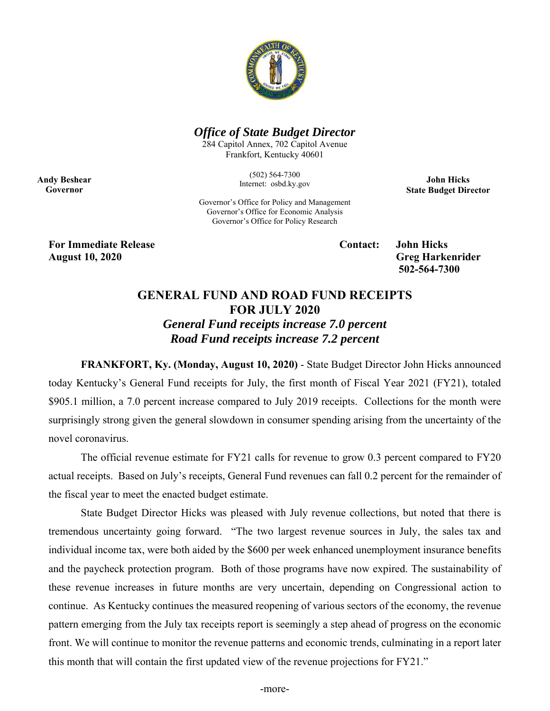

## *Office of State Budget Director*

284 Capitol Annex, 702 Capitol Avenue Frankfort, Kentucky 40601

> (502) 564-7300 Internet: osbd.ky.gov

**John Hicks State Budget Director** 

Governor's Office for Policy and Management Governor's Office for Economic Analysis Governor's Office for Policy Research

**For Immediate Release Contact: John Hicks August 10, 2020 Greg Harkenrider** 

**Andy Beshear Governor** 

 **502-564-7300** 

## **GENERAL FUND AND ROAD FUND RECEIPTS FOR JULY 2020**  *General Fund receipts increase 7.0 percent*

*Road Fund receipts increase 7.2 percent* 

**FRANKFORT, Ky. (Monday, August 10, 2020)** - State Budget Director John Hicks announced today Kentucky's General Fund receipts for July, the first month of Fiscal Year 2021 (FY21), totaled \$905.1 million, a 7.0 percent increase compared to July 2019 receipts. Collections for the month were surprisingly strong given the general slowdown in consumer spending arising from the uncertainty of the novel coronavirus.

The official revenue estimate for FY21 calls for revenue to grow 0.3 percent compared to FY20 actual receipts. Based on July's receipts, General Fund revenues can fall 0.2 percent for the remainder of the fiscal year to meet the enacted budget estimate.

State Budget Director Hicks was pleased with July revenue collections, but noted that there is tremendous uncertainty going forward. "The two largest revenue sources in July, the sales tax and individual income tax, were both aided by the \$600 per week enhanced unemployment insurance benefits and the paycheck protection program. Both of those programs have now expired. The sustainability of these revenue increases in future months are very uncertain, depending on Congressional action to continue. As Kentucky continues the measured reopening of various sectors of the economy, the revenue pattern emerging from the July tax receipts report is seemingly a step ahead of progress on the economic front. We will continue to monitor the revenue patterns and economic trends, culminating in a report later this month that will contain the first updated view of the revenue projections for FY21."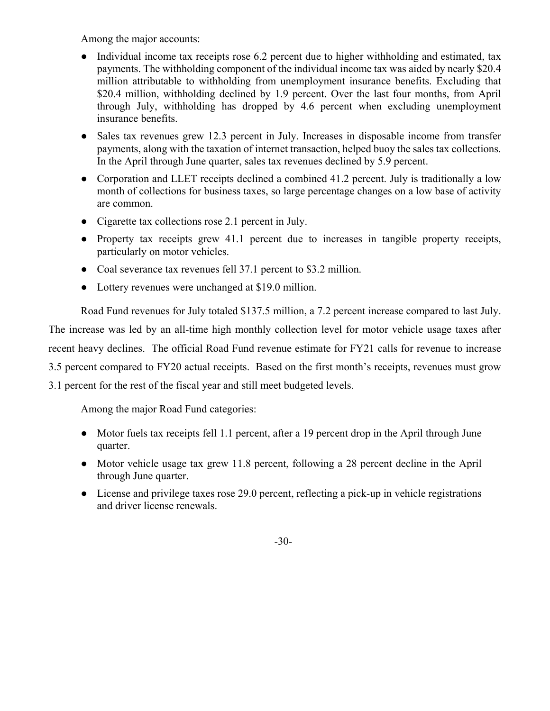Among the major accounts:

- Individual income tax receipts rose 6.2 percent due to higher withholding and estimated, tax payments. The withholding component of the individual income tax was aided by nearly \$20.4 million attributable to withholding from unemployment insurance benefits. Excluding that \$20.4 million, withholding declined by 1.9 percent. Over the last four months, from April through July, withholding has dropped by 4.6 percent when excluding unemployment insurance benefits.
- Sales tax revenues grew 12.3 percent in July. Increases in disposable income from transfer payments, along with the taxation of internet transaction, helped buoy the sales tax collections. In the April through June quarter, sales tax revenues declined by 5.9 percent.
- Corporation and LLET receipts declined a combined 41.2 percent. July is traditionally a low month of collections for business taxes, so large percentage changes on a low base of activity are common.
- Cigarette tax collections rose 2.1 percent in July.
- Property tax receipts grew 41.1 percent due to increases in tangible property receipts, particularly on motor vehicles.
- Coal severance tax revenues fell 37.1 percent to \$3.2 million.
- Lottery revenues were unchanged at \$19.0 million.

 Road Fund revenues for July totaled \$137.5 million, a 7.2 percent increase compared to last July. The increase was led by an all-time high monthly collection level for motor vehicle usage taxes after recent heavy declines. The official Road Fund revenue estimate for FY21 calls for revenue to increase 3.5 percent compared to FY20 actual receipts. Based on the first month's receipts, revenues must grow 3.1 percent for the rest of the fiscal year and still meet budgeted levels.

Among the major Road Fund categories:

- Motor fuels tax receipts fell 1.1 percent, after a 19 percent drop in the April through June quarter.
- Motor vehicle usage tax grew 11.8 percent, following a 28 percent decline in the April through June quarter.
- License and privilege taxes rose 29.0 percent, reflecting a pick-up in vehicle registrations and driver license renewals.

-30-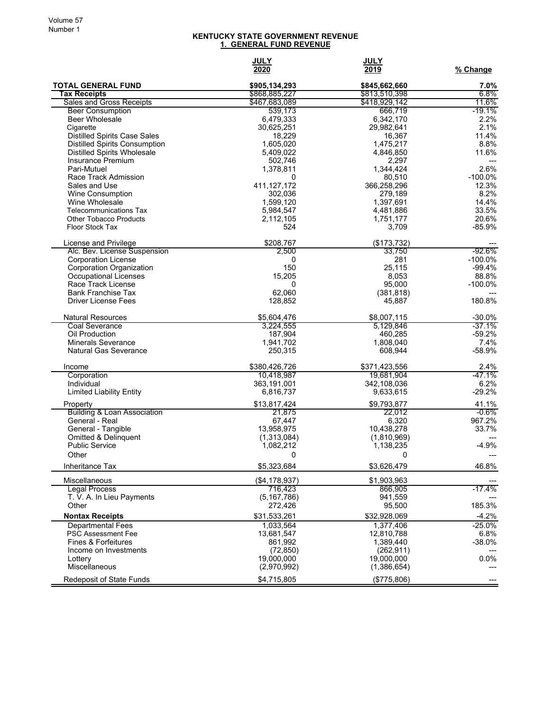## **KENTUCKY STATE GOVERNMENT REVENUE 1. GENERAL FUND REVENUE**

|                                                       | <b>JULY</b><br>2020      | <b>JULY</b><br>2019      | % Change           |
|-------------------------------------------------------|--------------------------|--------------------------|--------------------|
| <b>TOTAL GENERAL FUND</b>                             | \$905,134,293            | \$845,662,660            | 7.0%               |
| Tax Receipts                                          | \$868,885,227            | \$813,510,398            | $6.8\%$            |
| Sales and Gross Receipts                              | \$467,683,089            | \$418,929,142            | 11.6%              |
| <b>Beer Consumption</b><br><b>Beer Wholesale</b>      | 539,173<br>6,479,333     | 666,719<br>6,342,170     | $-19.1%$<br>2.2%   |
| Cigarette                                             | 30,625,251               | 29,982,641               | 2.1%               |
| <b>Distilled Spirits Case Sales</b>                   | 18,229                   | 16,367                   | 11.4%              |
| <b>Distilled Spirits Consumption</b>                  | 1,605,020                | 1,475,217                | 8.8%               |
| <b>Distilled Spirits Wholesale</b>                    | 5,409,022                | 4,846,850                | 11.6%              |
| Insurance Premium                                     | 502,746                  | 2,297                    |                    |
| Pari-Mutuel                                           | 1,378,811                | 1,344,424                | 2.6%               |
| Race Track Admission<br>Sales and Use                 | 0<br>411, 127, 172       | 80,510<br>366,258,296    | $-100.0%$<br>12.3% |
| Wine Consumption                                      | 302,036                  | 279,189                  | 8.2%               |
| Wine Wholesale                                        | 1,599,120                | 1,397,691                | 14.4%              |
| <b>Telecommunications Tax</b>                         | 5,984,547                | 4,481,886                | 33.5%              |
| <b>Other Tobacco Products</b>                         | 2,112,105                | 1,751,177                | 20.6%              |
| Floor Stock Tax                                       | 524                      | 3,709                    | $-85.9%$           |
| License and Privilege                                 | \$208,767                | (\$173,732)              |                    |
| Alc. Bev. License Suspension                          | 2,500                    | 33,750                   | -92.6%             |
| <b>Corporation License</b>                            | 0                        | 281                      | $-100.0\%$         |
| Corporation Organization                              | 150                      | 25,115                   | $-99.4%$           |
| Occupational Licenses<br>Race Track License           | 15,205<br>0              | 8,053<br>95,000          | 88.8%<br>$-100.0%$ |
| <b>Bank Franchise Tax</b>                             | 62.060                   | (381, 818)               |                    |
| <b>Driver License Fees</b>                            | 128,852                  | 45,887                   | 180.8%             |
| <b>Natural Resources</b>                              | \$5,604,476              | \$8,007,115              | $-30.0%$           |
| <b>Coal Severance</b>                                 | 3,224,555                | 5,129,846                | $-37.1\%$          |
| Oil Production                                        | 187,904                  | 460,285                  | $-59.2%$           |
| <b>Minerals Severance</b>                             | 1,941,702                | 1,808,040                | 7.4%               |
| <b>Natural Gas Severance</b>                          | 250,315                  | 608,944                  | $-58.9%$           |
| Income                                                | \$380,426,726            | \$371,423,556            | 2.4%               |
| Corporation                                           | 10,418,987               | 19,681,904               | $-47.1%$           |
| Individual<br><b>Limited Liability Entity</b>         | 363,191,001<br>6,816,737 | 342,108,036<br>9,633,615 | 6.2%<br>$-29.2%$   |
|                                                       |                          |                          |                    |
| Property<br><b>Building &amp; Loan Association</b>    | \$13,817,424<br>21,875   | \$9,793,877<br>22,012    | 41.1%<br>-0.6%     |
| General - Real                                        | 67,447                   | 6,320                    | 967.2%             |
| General - Tangible                                    | 13,958,975               | 10,438,278               | 33.7%              |
| <b>Omitted &amp; Delinguent</b>                       | (1,313,084)              | (1,810,969)              |                    |
| <b>Public Service</b>                                 | 1,082,212                | 1,138,235                | $-4.9%$            |
| Other                                                 | 0                        | 0                        |                    |
| Inheritance Tax                                       | \$5,323,684              | \$3,626,479              | 46.8%              |
| Miscellaneous                                         | ( \$4, 178, 937)         | \$1,903,963              |                    |
| <b>Legal Process</b>                                  | 716.423                  | 866,905                  | $-17.4%$           |
| T. V. A. In Lieu Payments<br>Other                    | (5, 167, 786)<br>272,426 | 941,559<br>95,500        | 185.3%             |
| <b>Nontax Receipts</b>                                | \$31,533,261             | \$32,928,069             | $-4.2%$            |
|                                                       |                          | 1,377,406                | $-25.0%$           |
| <b>Departmental Fees</b><br><b>PSC Assessment Fee</b> | 1,033,564<br>13,681,547  | 12,810,788               | 6.8%               |
| <b>Fines &amp; Forfeitures</b>                        | 861,992                  | 1,389,440                | $-38.0%$           |
| Income on Investments                                 | (72, 850)                | (262, 911)               |                    |
| Lottery                                               | 19,000,000               | 19,000,000               | 0.0%               |
| Miscellaneous                                         | (2,970,992)              | (1,386,654)              |                    |
| Redeposit of State Funds                              | \$4,715,805              | (\$775,806)              | ---                |